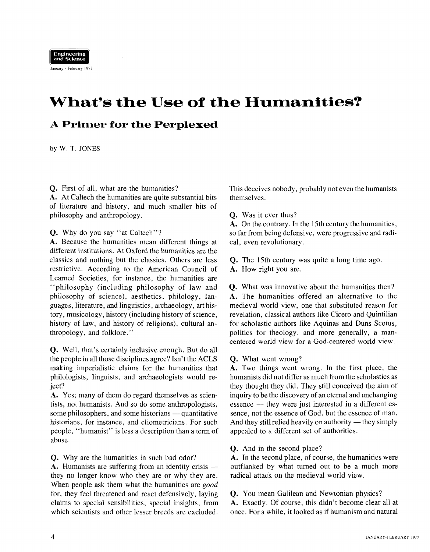

January - February 1977

# **What's the Use of the Humanities?**

## **A Primer for the Perplexed**

by W. T. JONES

Q. First of all, what are.the humanities?

**A.** At Caltech the humanities are quite substantial bits of literature and history, and much smaller bits of philosophy and anthropology.

Q. Why do you say "at Caltech"?

**A.** Because the humanities mean different things at different institutions. At Oxford the humanities are the classics and nothing but the classics. Others are less restrictive. According to the American Council of Learned Societies. for instance, the humanities are "philosophy (including philosophy of law and philosophy of science), aesthetics, philology, languages, literature, and linguistics, archaeology, art history, musicology, history (including history of science, history of law, and history of religions), cultural anthropology, and folklore."

**Q.** Well, that's certainly inclusive enough. But do all the people in all those disciplines agree? Isn't the ACLS making imperialistic claims for the humanities that philologists, linguists, and archaeologists would reject?

**A.** Yes; many of them do regard themselves as scientists, not humanists. And so do some anthropologists, A. Tes; many of them do regard themselves as scien-<br>tists, not humanists. And so do some anthropologists,<br>some philosophers, and some historians — quantitative historians, for instance, and cliometricians. For such people, "humanist" is less a description than a term of abuse.

Q. Why are the humanities in such bad odor?

A. Humanists are suffering from an identity crisis they no longer know who they are or why they are. When people ask them what the humanities are good for, they feel threatened and react defensively, laying claims to special sensibilities, special insights, from which scientists and other lesser breeds are excluded.

This deceives nobody, probably not even the humanists themselves.

**Q.** Was it ever thus?

**A.** On the contrary. In the 15th century the humanities, so far from being defensive, were progressive and radical, even revolutionary.

- **Q.** The 15th century was quite a long time ago.
- **A.** How right you are.

**Q.** What was innovative about the humanities then? **A.** The humanities offered an alternative to the medieval world view, one that substituted reason for revelation, classical authors like Cicero and Quintilian for scholastic authors like Aquinas and Duns Scotus, politics for theology, and more generally, a mancentered world view for a God-centered world view.

**Q.** What went wrong?

**A.** Two things went wrong. In the first place, the humanists did not differ as much from the scholastics as they thought they did. They still conceived the aim of inquiry to be the discovery of an eternal and unchanging they thought they did. They still conceived the alm of<br>inquiry to be the discovery of an eternal and unchanging<br>essence — they were just interested in a different essence, not the essence of God, but the essence of man. essence — they were just interested in a different essence, not the essence of God, but the essence of man.<br>And they still relied heavily on authority — they simply appealed to a different set of authorities.

**Q.** And in the second place?

**A.** In the second place, of course, the humanities were outflanked by what turned out to be a much more radical attack on the medieval world view.

**Q.** You mean Galilean and Newtonian physics?

**A.** Exactly. Of course, this didn't become clear all at once. For a while, it looked as if humanism and natural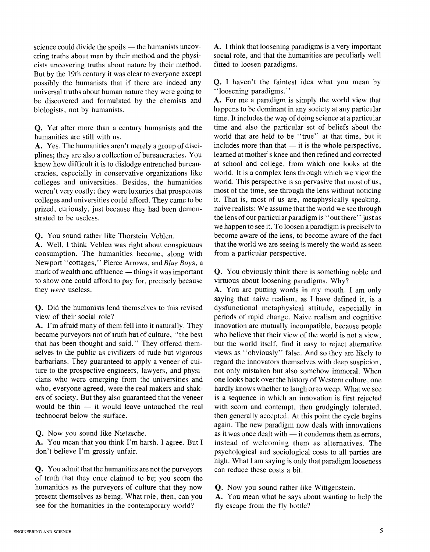science could divide the spoils - the humanists uncovering truths about man by their method and the physicists uncovering truths about nature by their method. But by the 19th century it was clear to everyone except possibly the humanists that if there are indeed any universal truths about human nature they were going to be discovered and formulated by the chemists and biologists, not by humanists.

**Q.** Yet after more than a century humanists and the humanities are still with us.

**A.** Yes. The humanities aren't merely a group of disciplines; they are also a collection of bureaucracies. You know how difficult it is to dislodge entrenched bureaucracies, especially in conservative organizations like colleges and universities. Besides, the humanities weren't very costly; they were luxuries that prosperous colleges and universities could afford. They came to be prized, curiously, just because they had been demonstrated to be useless.

**Q.** You sound rather like Thorstein Veblen.

**A.** Well, I think Veblen was right about conspicuous consumption. The humanities became, along with Newport ''cottages," Pierce Arrows, and Blue Boys, a mark of wealth and affluence  $-$  things it was important to show one could afford to pay for, precisely because they were useless.

**Q.** Did the humanists lend themselves to this revised view of their social role?

**A.** I'm afraid many of them fell into it naturally. They became purveyors not of truth bat of culture, "the best that has been thought and said." They offered themselves to the public as civilizers of rude but vigorous barbarians. They guaranteed to apply a veneer of culture to the prospective engineers, lawyers, and physicians who were emerging from the universities and who, everyone agreed, were the real makers and shakers of society. But they also guaranteed that the veneer who, everyone agreed, were the real makers and shakers of society. But they also guaranteed that the veneer<br>would be thin - it would leave untouched the real technocrat below the surface.

**Q.** Now you sound like Nietzsche.

**A.** You mean that you think I'm harsh. I agree. But I don't believe I'm grossly unfair.

**Q.** You admit that the humanities are not the purveyors of truth that they once claimed to be; you scorn the humanities as the purveyors of culture that they now present themselves as being. What role, then, can you see for the humanities in the contemporary world?

**A.** I think that loosening paradigms is a very important social role, and that the humanities are peculiarly well fitted to loosen paradigms.

**Q.** I haven't the faintest idea what you mean by "loosening paradigms. "

**A.** For me a paradigm is simply the world view that happens to be dominant in any society at any particular time. It includes the way of doing science at a particular time and also the particular set of beliefs about the world that are held to be "true" at that time, but it time and also the particular set of beliefs about the<br>world that are held to be "true" at that time, but it<br>includes more than that — it is the whole perspective, learned at mother's knee and then refined and corrected at school and college, from which one looks at the world. It is a complex lens through which we view the world. This perspective is so pervasive that most of us, most of the time, see through the lens without noticing it. That is, most of us are, metaphysically speaking, naive realists: We assume that the world we see through the lens of our particular paradigm is "out there" just as we happen to see it. To loosen a paradigm is precisely to become aware of the lens, to become aware of the fact that the world we are seeing is merely the world as seen from a particular perspective.

**Q.** You obviously think there is something noble and virtuous about loosening paradigms. Why?

**A.** You are putting words in my mouth. I am only saying that naive realism, as I have defined it, is a dysfunctional metaphysical attitude, especially in periods of rapid change. Naive realism and cognitive innovation are mutually incompatible, because people who believe that their view of the world is not a view. but the world itself, find it easy to reject alternative views as "obviously" false. And so they are likely to regard the innovators themselves with deep suspicion, not only mistaken but also somehow immoral. When one looks back over the history of Western culture, one hardly knows whether to laugh or to weep. What we see is a sequence in which an innovation is first rejected with scorn and contempt, then grudgingly tolerated, then generally accepted. At this point the cycle begins again. The new paradigm now deals with innovations as it was once dealt with  $-$  it condemns them as errors, instead of welcoming them as alternatives. The psychological and sociological costs to all parties are high. What I am saying is only that paradigm looseness can reduce these costs a bit.

**Q.** Now you sound rather like Wittgenstein.

**A.** You mean what he says about wanting to help the fly escape from the fly bottle?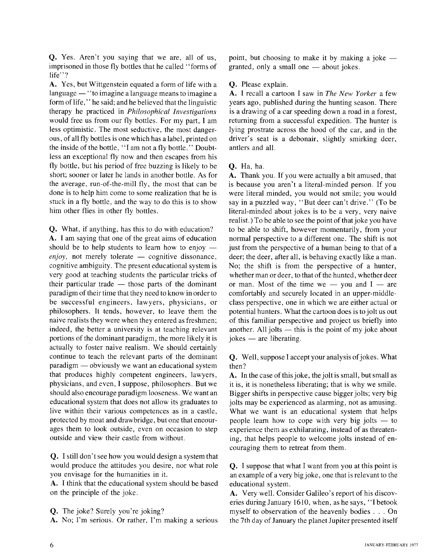**Q.** Yes. Aren't you saying that we are, all of us, imprisoned in those fly bottles that he called "forms of life''?

**A.** Yes, but Wittgenstein equated a form of life with a language - "to imagine a language means to imagine a<br>language - "to imagine a language means to imagine a form of life," he said; and he believed that the linguistic therapy he practiced in *Philosophical Investigations*  would free us from our fly bottles. For my part, I am less optimistic. The most seductive, the most dangerous, of all fly bottles is one which has a label, printed on the inside of the bottle, "I am not a fly bottle." Doubtless an exceptional fly now and then escapes from his fly bottle, but his period of free buzzing is likely to be short; sooner or later he lands in another bottle. As for the average, run-of-the-mill fly, the most that can be done is to help him come to some realization that he is stuck in a fly bottle, and the way to do this is to show him other flies in other fly bottles.

**Q.** What, if anything, has this to do with education? **A.** I am saying that one of the great aims of education **Q.** what, it anything, has this to do with education?<br>**A.** I am saying that one of the great aims of education should be to help students to learn how to enjoy  $$ should be to help students to learn how to enjoy  $-\epsilon n j \omega$ , not merely tolerate  $-\epsilon$  cognitive dissonance, cognitive ambiguity. The present educational system is very good at teaching students the particular tricks of the example of the present educational system is<br>very good at teaching students the particular tricks of<br>their particular trade — those parts of the dominant paradigm of their time that they need to know in order to be successful engineers, lawyers, physicians, or philosophers. It tends, however, to leave them the naive realists they were when they entered as freshmen; indeed, the better a university is at teaching relevant portions of the dominant paradigm, the more likely it is actually to foster naive realism. We should certainly continue to teach the relevant parts of the dominant paradigm - obviously we want an educational system that produces highly competent engineers, lawyers, physicians, and even, I suppose, philosophers. But we should also encourage paradigm looseness. We want an educational system that does not allow its graduates to live within their various competences as in a castle, protected by moat and drawbridge, but one that encourages them to look outside, even on occasion to step outside and view their castle from without.

**Q.** I still don't see how you would design a system that would produce the attitudes you desire, nor what role you envisage for the humanities in it.

**A.** I think that the educational system should be based on the principle of the joke.

- **Q.** The joke? Surely you're joking?
- **A.** No; I'm serious. Or rather, I'm making a serious

point, but choosing to make it by making a joke  $$ granted, only a small one  $-$  about jokes.

## **Q.** Please explain.

**A.** I recall a cartoon I saw in *The New Yorker* a few years ago, published during the hunting season. There is a drawing of a car speeding down a road in a forest, returning from a successful expedition. The hunter is lying prostrate across the hood of the car, and in the driver's seat is a debonair, slightly smirking deer, antlers and all.

## **Q.** Ha, ha.

**A.** Thank you. If you were actually a bit amused, that is because you aren't a literal-minded person. If you were literal minded, you would not smile; you would say in a puzzled way, "But deer can't drive." (To be literal-minded about jokes is to be a very, very naive realist.) To be able to see the point of that joke you have to be able to shift, however momentarily, from your normal perspective to a different one. The shift is not just from the perspective of a human being to that of a deer; the deer, after all, is behaving exactly like a man. No; the shift is from the perspective of a hunter, whether man or deer, to that of the hunted, whether deer whether man or deer, to that of the hunted, whether deer<br>or man. Most of the time we  $-$  you and  $I -$  are comfortably and securely located in an upper-middleclass perspective, one in which we are either actual or potential hunters. What the cartoon does is to jolt us out of this familiar perspective and project us briefly into potential numers. What the cartoon does is to joit us out<br>of this familiar perspective and project us briefly into<br>another. All jolts — this is the point of my joke about or this ramiliar perspect<br>another. All jolts — this<br>jokes — are liberating.

**Q.** Well, suppose I accept your analysis of jokes. What then?

**A.** In the case of this joke, the jolt is small, but small as it is, it is nonetheless liberating; that is why we smile. Bigger shifts in perspective cause bigger jolts; very big jolts may be experienced as alarming, not as amusing. What we want is an educational system that helps people learn how to cope with very big jolts  $-$  to experience them as exhilarating, instead of as threatening, that helps people to welcome jolts instead of encouraging them to retreat from them.

**Q.** I suppose that what I want from you at this point is an example of a very big joke, one that is relevant to the educational system.

**A.** Very well. Consider Galileo's report of his discoveries during January 1610, when, as he says, "I betook myself to observation of the heavenly bodies . . . On the 7th day of January the planet Jupiter presented itself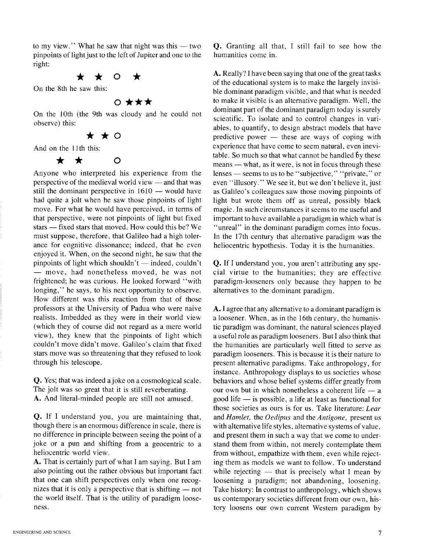to my view." What he saw that night was this  $-$  two pinpoints of light just to the left of Jupiter and one to the right:

## \* \* 0 \*

On the 8th he saw this:

## <sup>0</sup>\*\*\*

On the 10th (the 9th was cloudy and he could not observe) this:<br> $\qquad \qquad \bullet$   $\qquad \bullet$   $\qquad \bullet$   $\qquad \bullet$   $\qquad \bullet$ 

And on the I1 th this:

 $\bigstar$ ★  $\Omega$ 

Anyone who interpreted his experience from the Anyone who interpreted his experience from the perspective of the medieval world view  $-$  and that was perspective of the medieval world view  $-$  and that was<br>still the dominant perspective in  $1610 -$  would have had quite a jolt when he saw those pinpoints of light move. For what he would have perceived, in terms of that perspective, were not pinpoints of light but fixed move. For what he would have perceived, in terms of<br>that perspective, were not pinpoints of light but fixed<br>stars — fixed stars that moved. How could this be? We must suppose, therefore, that Galileo had a high tolerance for cognitive dissonance; indeed, that he even enjoyed it. When, on the second night, he saw that the ance for cognitive dissonance; indeed, that he even<br>enjoyed it. When, on the second night, he saw that the<br>pinpoints of light which shouldn't — indeed, couldn't pinpoints of light which shouldn't — indeed, couldn't — move, had nonetheless moved, he was not frightened; he was curious. He looked forward "with longing," he says, to his next opportunity to observe. How different was this reaction from that of those professors at the University of Padua who were naive realists. Imbedded as they were in their world view (which they of course did not regard as a mere world view), they knew that the pinpoints of light which couldn't move didn't move. Galileo's claim that fixed stars move was so threatening that they refused to look through his telescope.

**Q.** Yes; that was indeed a joke on a cosmological scale. The jolt was so great that it is still reverberating. **A.** And literal-minded people are still not amused.

**Q.** If I understand you, you are maintaining that, though there is an enormous difference in scale, there is no difference in principle between seeing the point of a joke or a pun and shifting from a geocentric to a heliocentric world view.

**A.** That is certainly part of what I am saying. But I am also pointing out the rather obvious but important fact that one can shift perspectives only when one recognizes that it is only a perspective that is shifting  $-$  not the world itself. That is the utility of paradigm looseness.

**Q.** Granting all that, I still fail to see how the humanities come in.

**A.** Really? I have been saying that one of the great tasks of the educational system is to make the largely invisible dominant paradigm visible, and that what is needed to make it visible is an alternative paradigm. Well, the dominant part of the dominant paradigm today is surely scientific. To isolate and to control changes in variables, to quantify, to design abstract models that have predictive power  $-$  these are ways of coping with experience that have come to seem natural, even inevitable. So much so that what cannot be handled by these experience that have come to seem hatural, even mevi-<br>table. So much so that what cannot be handled by these<br>means — what, as it were, is not in focus through these means — what, as it were, is not in focus through these<br>lenses — seems to us to be "subjective," "private," or even "illusory. " We see it, but we don't believe it, just as Galileo's colleagues saw those moving pinpoints of light but wrote them off as unreal, possibly black magic. In such circumstances it seems to me useful and important to have available a paradigm in which what is "unreal" in the dominant paradigm comes into focus. In the 17th century that alternative paradigm was the heliocentric hypothesis. Today it is the humanities.

**Q.** If I understand you, you aren't attributing any special virtue to the humanities; they are effective paradigm-looseners only because they happen to be alternatives to the dominant paradigm.

**A.** I agree that any alternative to a dominant paradigm is a loosener. When, as in the 16th century, the humanistic paradigm was dominant, the natural sciences played a useful role as paradigm looseners. But I also think that the humanities are particularly well fitted to serve as paradigm looseners. This is because it is their nature to present alternative paradigms. Take anthropology, for instance. Anthropology displays to us societies whose behaviors and whose belief systems differ greatly from Instance. Anthropology displays to us societies whose<br>behaviors and whose belief systems differ greatly from<br>our own but in which nonetheless a coherent life - a our own but in which nonetheless a coherent life  $-$  a good life  $-$  is possible, a life at least as functional for those societies as ours is for us. Take literature: *Lear*  and *Hamlet,* the *Oedipus* and the *Antigone,* present us with alternative life styles, alternative systems of value, and present them in such a way that we come to understand them from within, not merely contemplate them from without, empathize with them, even while rejecting them as models we want to follow. To understand from without, empathize with them, even while reject-<br>ing them as models we want to follow. To understand<br>while rejecting — that is precisely what I mean by loosening a paradigm; not abandoning, loosening. Take history: In contrast to anthropology, which shows us contemporary societies different from our own, history loosens our own current Western paradigm by